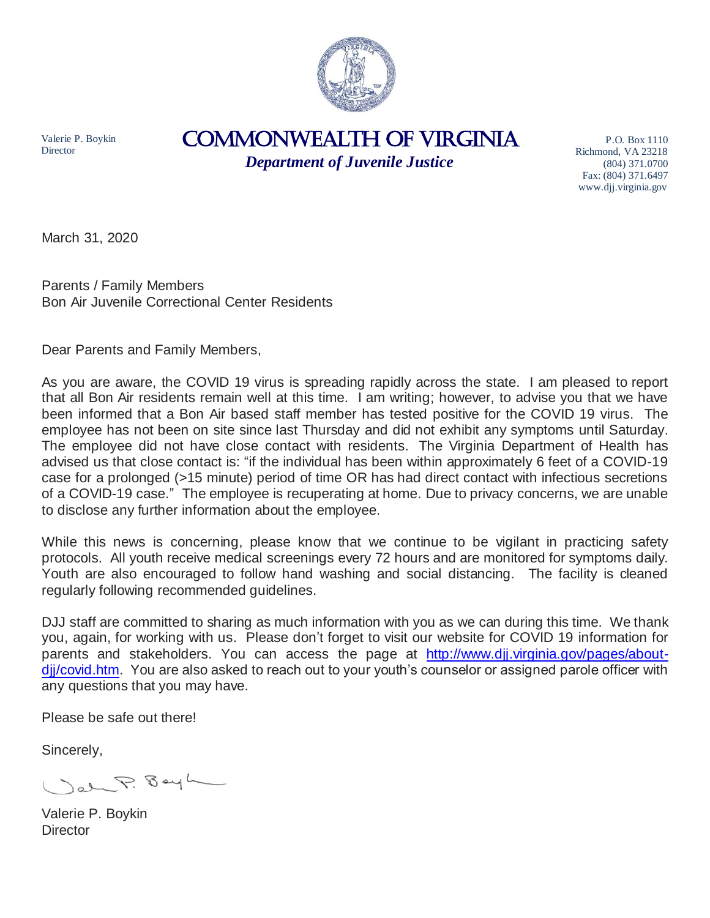

Valerie P. Boykin **Director** 

## COMMONWEALTH of VIRGINIA

*Department of Juvenile Justice*

P.O. Box 1110 Richmond, VA 23218 (804) 371.0700 Fax: (804) 371.6497 www.djj.virginia.gov

March 31, 2020

Parents / Family Members Bon Air Juvenile Correctional Center Residents

Dear Parents and Family Members,

As you are aware, the COVID 19 virus is spreading rapidly across the state. I am pleased to report that all Bon Air residents remain well at this time. I am writing; however, to advise you that we have been informed that a Bon Air based staff member has tested positive for the COVID 19 virus. The employee has not been on site since last Thursday and did not exhibit any symptoms until Saturday. The employee did not have close contact with residents. The Virginia Department of Health has advised us that close contact is: "if the individual has been within approximately 6 feet of a COVID-19 case for a prolonged (>15 minute) period of time OR has had direct contact with infectious secretions of a COVID-19 case." The employee is recuperating at home. Due to privacy concerns, we are unable to disclose any further information about the employee.

While this news is concerning, please know that we continue to be vigilant in practicing safety protocols. All youth receive medical screenings every 72 hours and are monitored for symptoms daily. Youth are also encouraged to follow hand washing and social distancing. The facility is cleaned regularly following recommended guidelines.

DJJ staff are committed to sharing as much information with you as we can during this time. We thank you, again, for working with us. Please don't forget to visit our website for COVID 19 information for parents and stakeholders. You can access the page at [http://www.djj.virginia.gov/pages/about](http://www.djj.virginia.gov/pages/about-djj/covid.htm)[djj/covid.htm.](http://www.djj.virginia.gov/pages/about-djj/covid.htm) You are also asked to reach out to your youth's counselor or assigned parole officer with any questions that you may have.

Please be safe out there!

Sincerely,

al P. Bayh

Valerie P. Boykin **Director**